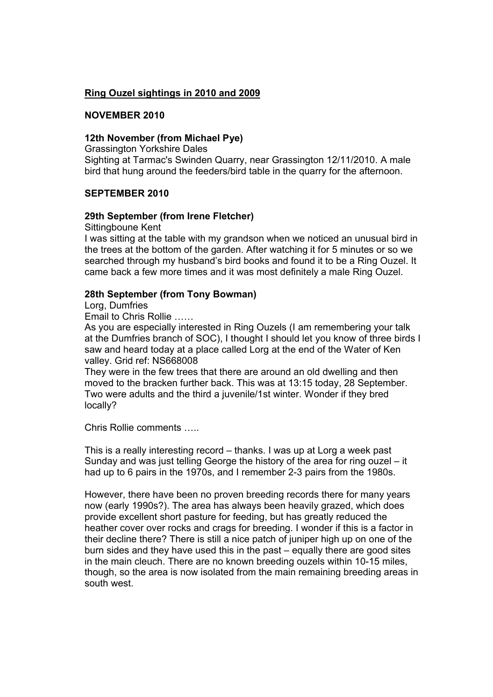# **Ring Ouzel sightings in 2010 and 2009**

# **NOVEMBER 2010**

# **12th November (from Michael Pye)**

Grassington Yorkshire Dales

Sighting at Tarmac's Swinden Quarry, near Grassington 12/11/2010. A male bird that hung around the feeders/bird table in the quarry for the afternoon.

## **SEPTEMBER 2010**

## **29th September (from Irene Fletcher)**

Sittingboune Kent

I was sitting at the table with my grandson when we noticed an unusual bird in the trees at the bottom of the garden. After watching it for 5 minutes or so we searched through my husband's bird books and found it to be a Ring Ouzel. It came back a few more times and it was most definitely a male Ring Ouzel.

## **28th September (from Tony Bowman)**

Lorg, Dumfries

Email to Chris Rollie ……

As you are especially interested in Ring Ouzels (I am remembering your talk at the Dumfries branch of SOC), I thought I should let you know of three birds I saw and heard today at a place called Lorg at the end of the Water of Ken valley. Grid ref: NS668008

They were in the few trees that there are around an old dwelling and then moved to the bracken further back. This was at 13:15 today, 28 September. Two were adults and the third a juvenile/1st winter. Wonder if they bred locally?

Chris Rollie comments …..

This is a really interesting record – thanks. I was up at Lorg a week past Sunday and was just telling George the history of the area for ring ouzel – it had up to 6 pairs in the 1970s, and I remember 2-3 pairs from the 1980s.

However, there have been no proven breeding records there for many years now (early 1990s?). The area has always been heavily grazed, which does provide excellent short pasture for feeding, but has greatly reduced the heather cover over rocks and crags for breeding. I wonder if this is a factor in their decline there? There is still a nice patch of juniper high up on one of the burn sides and they have used this in the past – equally there are good sites in the main cleuch. There are no known breeding ouzels within 10-15 miles, though, so the area is now isolated from the main remaining breeding areas in south west.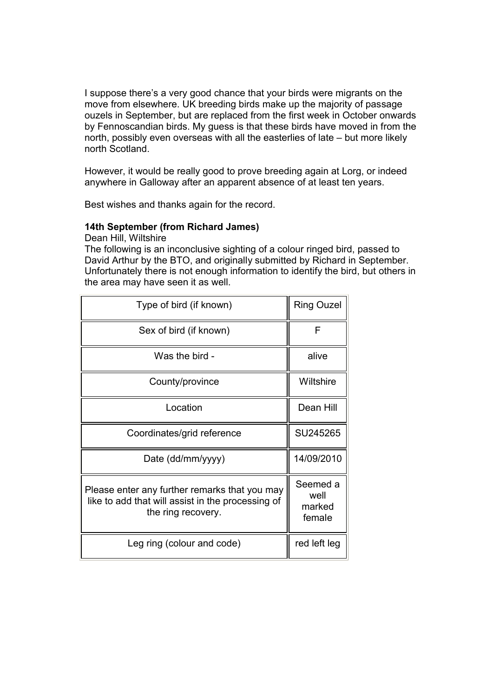I suppose there's a very good chance that your birds were migrants on the move from elsewhere. UK breeding birds make up the majority of passage ouzels in September, but are replaced from the first week in October onwards by Fennoscandian birds. My guess is that these birds have moved in from the north, possibly even overseas with all the easterlies of late – but more likely north Scotland.

However, it would be really good to prove breeding again at Lorg, or indeed anywhere in Galloway after an apparent absence of at least ten years.

Best wishes and thanks again for the record.

#### **14th September (from Richard James)**

Dean Hill, Wiltshire

The following is an inconclusive sighting of a colour ringed bird, passed to David Arthur by the BTO, and originally submitted by Richard in September. Unfortunately there is not enough information to identify the bird, but others in the area may have seen it as well.

| Type of bird (if known)                                                                                                  | <b>Ring Ouzel</b>                    |
|--------------------------------------------------------------------------------------------------------------------------|--------------------------------------|
| Sex of bird (if known)                                                                                                   | F                                    |
| Was the bird -                                                                                                           | alive                                |
| County/province                                                                                                          | Wiltshire                            |
| Location                                                                                                                 | Dean Hill                            |
| Coordinates/grid reference                                                                                               | SU245265                             |
| Date (dd/mm/yyyy)                                                                                                        | 14/09/2010                           |
| Please enter any further remarks that you may<br>like to add that will assist in the processing of<br>the ring recovery. | Seemed a<br>well<br>marked<br>female |
| Leg ring (colour and code)                                                                                               | red left leg                         |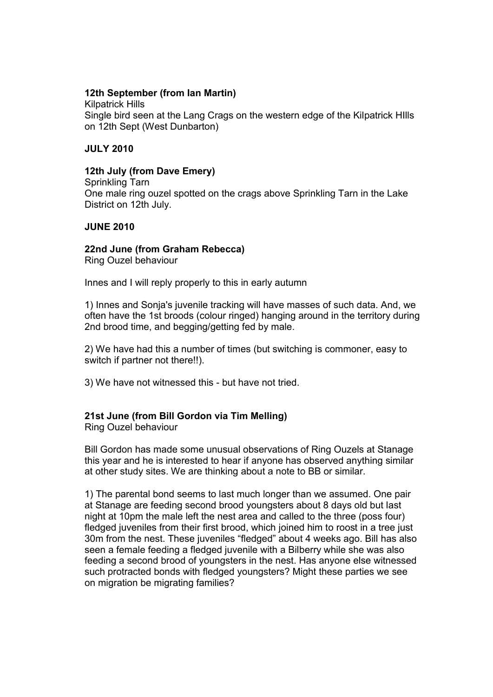# **12th September (from Ian Martin)**

Kilpatrick Hills Single bird seen at the Lang Crags on the western edge of the Kilpatrick HIlls on 12th Sept (West Dunbarton)

## **JULY 2010**

# **12th July (from Dave Emery)**

Sprinkling Tarn One male ring ouzel spotted on the crags above Sprinkling Tarn in the Lake District on 12th July.

# **JUNE 2010**

# **22nd June (from Graham Rebecca)**

Ring Ouzel behaviour

Innes and I will reply properly to this in early autumn

1) Innes and Sonja's juvenile tracking will have masses of such data. And, we often have the 1st broods (colour ringed) hanging around in the territory during 2nd brood time, and begging/getting fed by male.

2) We have had this a number of times (but switching is commoner, easy to switch if partner not there!!).

3) We have not witnessed this - but have not tried.

# **21st June (from Bill Gordon via Tim Melling)**

Ring Ouzel behaviour

Bill Gordon has made some unusual observations of Ring Ouzels at Stanage this year and he is interested to hear if anyone has observed anything similar at other study sites. We are thinking about a note to BB or similar.

1) The parental bond seems to last much longer than we assumed. One pair at Stanage are feeding second brood youngsters about 8 days old but last night at 10pm the male left the nest area and called to the three (poss four) fledged juveniles from their first brood, which joined him to roost in a tree just 30m from the nest. These juveniles "fledged" about 4 weeks ago. Bill has also seen a female feeding a fledged juvenile with a Bilberry while she was also feeding a second brood of youngsters in the nest. Has anyone else witnessed such protracted bonds with fledged youngsters? Might these parties we see on migration be migrating families?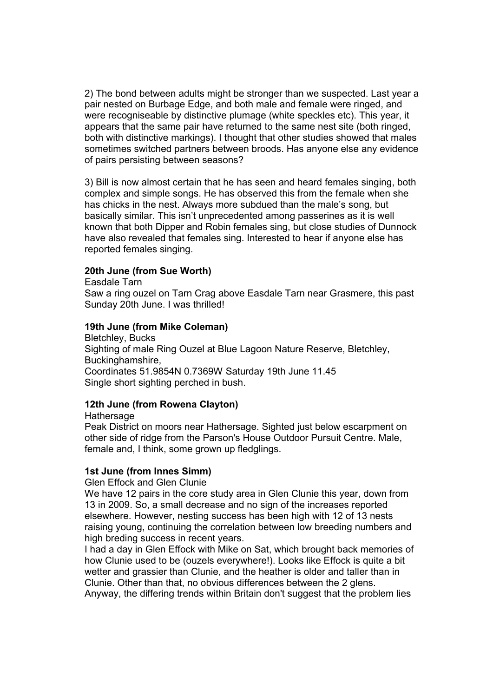2) The bond between adults might be stronger than we suspected. Last year a pair nested on Burbage Edge, and both male and female were ringed, and were recogniseable by distinctive plumage (white speckles etc). This year, it appears that the same pair have returned to the same nest site (both ringed, both with distinctive markings). I thought that other studies showed that males sometimes switched partners between broods. Has anyone else any evidence of pairs persisting between seasons?

3) Bill is now almost certain that he has seen and heard females singing, both complex and simple songs. He has observed this from the female when she has chicks in the nest. Always more subdued than the male's song, but basically similar. This isn't unprecedented among passerines as it is well known that both Dipper and Robin females sing, but close studies of Dunnock have also revealed that females sing. Interested to hear if anyone else has reported females singing.

#### **20th June (from Sue Worth)**

Easdale Tarn

Saw a ring ouzel on Tarn Crag above Easdale Tarn near Grasmere, this past Sunday 20th June. I was thrilled!

#### **19th June (from Mike Coleman)**

Bletchley, Bucks Sighting of male Ring Ouzel at Blue Lagoon Nature Reserve, Bletchley, Buckinghamshire, Coordinates 51.9854N 0.7369W Saturday 19th June 11.45 Single short sighting perched in bush.

## **12th June (from Rowena Clayton)**

**Hathersage** 

Peak District on moors near Hathersage. Sighted just below escarpment on other side of ridge from the Parson's House Outdoor Pursuit Centre. Male, female and, I think, some grown up fledglings.

#### **1st June (from Innes Simm)**

Glen Effock and Glen Clunie

We have 12 pairs in the core study area in Glen Clunie this year, down from 13 in 2009. So, a small decrease and no sign of the increases reported elsewhere. However, nesting success has been high with 12 of 13 nests raising young, continuing the correlation between low breeding numbers and high breding success in recent years.

I had a day in Glen Effock with Mike on Sat, which brought back memories of how Clunie used to be (ouzels everywhere!). Looks like Effock is quite a bit wetter and grassier than Clunie, and the heather is older and taller than in Clunie. Other than that, no obvious differences between the 2 glens. Anyway, the differing trends within Britain don't suggest that the problem lies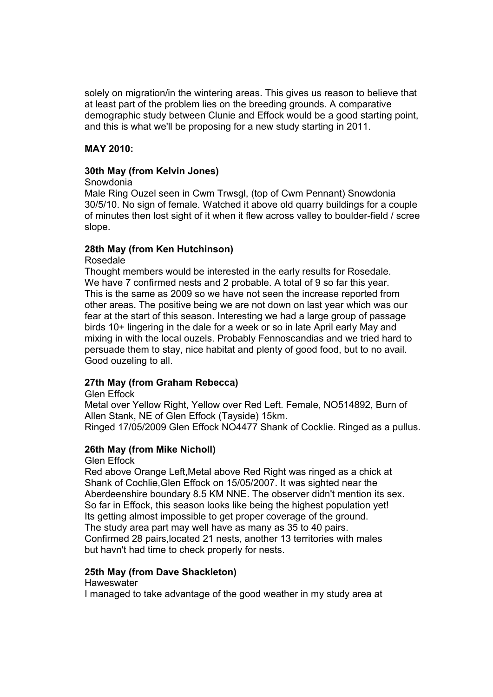solely on migration/in the wintering areas. This gives us reason to believe that at least part of the problem lies on the breeding grounds. A comparative demographic study between Clunie and Effock would be a good starting point, and this is what we'll be proposing for a new study starting in 2011.

# **MAY 2010:**

# **30th May (from Kelvin Jones)**

## Snowdonia

Male Ring Ouzel seen in Cwm Trwsgl, (top of Cwm Pennant) Snowdonia 30/5/10. No sign of female. Watched it above old quarry buildings for a couple of minutes then lost sight of it when it flew across valley to boulder-field / scree slope.

# **28th May (from Ken Hutchinson)**

# Rosedale

Thought members would be interested in the early results for Rosedale. We have 7 confirmed nests and 2 probable. A total of 9 so far this year. This is the same as 2009 so we have not seen the increase reported from other areas. The positive being we are not down on last year which was our fear at the start of this season. Interesting we had a large group of passage birds 10+ lingering in the dale for a week or so in late April early May and mixing in with the local ouzels. Probably Fennoscandias and we tried hard to persuade them to stay, nice habitat and plenty of good food, but to no avail. Good ouzeling to all.

# **27th May (from Graham Rebecca)**

## Glen Effock

Metal over Yellow Right, Yellow over Red Left. Female, NO514892, Burn of Allen Stank, NE of Glen Effock (Tayside) 15km. Ringed 17/05/2009 Glen Effock NO4477 Shank of Cocklie. Ringed as a pullus.

# **26th May (from Mike Nicholl)**

Glen Effock

Red above Orange Left,Metal above Red Right was ringed as a chick at Shank of Cochlie,Glen Effock on 15/05/2007. It was sighted near the Aberdeenshire boundary 8.5 KM NNE. The observer didn't mention its sex. So far in Effock, this season looks like being the highest population yet! Its getting almost impossible to get proper coverage of the ground. The study area part may well have as many as 35 to 40 pairs. Confirmed 28 pairs,located 21 nests, another 13 territories with males but havn't had time to check properly for nests.

# **25th May (from Dave Shackleton)**

## **Haweswater**

I managed to take advantage of the good weather in my study area at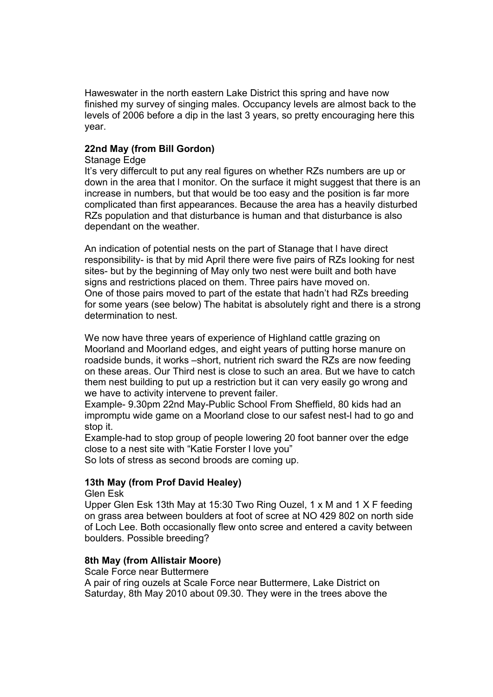Haweswater in the north eastern Lake District this spring and have now finished my survey of singing males. Occupancy levels are almost back to the levels of 2006 before a dip in the last 3 years, so pretty encouraging here this year.

# **22nd May (from Bill Gordon)**

## Stanage Edge

It's very differcult to put any real figures on whether RZs numbers are up or down in the area that l monitor. On the surface it might suggest that there is an increase in numbers, but that would be too easy and the position is far more complicated than first appearances. Because the area has a heavily disturbed RZs population and that disturbance is human and that disturbance is also dependant on the weather.

An indication of potential nests on the part of Stanage that l have direct responsibility- is that by mid April there were five pairs of RZs looking for nest sites- but by the beginning of May only two nest were built and both have signs and restrictions placed on them. Three pairs have moved on. One of those pairs moved to part of the estate that hadn't had RZs breeding for some years (see below) The habitat is absolutely right and there is a strong determination to nest.

We now have three years of experience of Highland cattle grazing on Moorland and Moorland edges, and eight years of putting horse manure on roadside bunds, it works –short, nutrient rich sward the RZs are now feeding on these areas. Our Third nest is close to such an area. But we have to catch them nest building to put up a restriction but it can very easily go wrong and we have to activity intervene to prevent failer.

Example- 9.30pm 22nd May-Public School From Sheffield, 80 kids had an impromptu wide game on a Moorland close to our safest nest-l had to go and stop it.

Example-had to stop group of people lowering 20 foot banner over the edge close to a nest site with "Katie Forster l love you"

So lots of stress as second broods are coming up.

# **13th May (from Prof David Healey)**

## Glen Esk

Upper Glen Esk 13th May at 15:30 Two Ring Ouzel, 1 x M and 1 X F feeding on grass area between boulders at foot of scree at NO 429 802 on north side of Loch Lee. Both occasionally flew onto scree and entered a cavity between boulders. Possible breeding?

## **8th May (from Allistair Moore)**

Scale Force near Buttermere A pair of ring ouzels at Scale Force near Buttermere, Lake District on Saturday, 8th May 2010 about 09.30. They were in the trees above the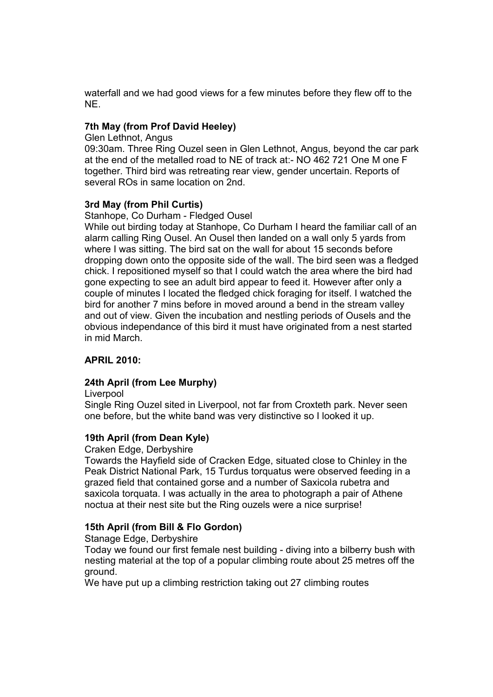waterfall and we had good views for a few minutes before they flew off to the NE.

# **7th May (from Prof David Heeley)**

Glen Lethnot, Angus

09:30am. Three Ring Ouzel seen in Glen Lethnot, Angus, beyond the car park at the end of the metalled road to NE of track at:- NO 462 721 One M one F together. Third bird was retreating rear view, gender uncertain. Reports of several ROs in same location on 2nd.

## **3rd May (from Phil Curtis)**

Stanhope, Co Durham - Fledged Ousel

While out birding today at Stanhope, Co Durham I heard the familiar call of an alarm calling Ring Ousel. An Ousel then landed on a wall only 5 yards from where I was sitting. The bird sat on the wall for about 15 seconds before dropping down onto the opposite side of the wall. The bird seen was a fledged chick. I repositioned myself so that I could watch the area where the bird had gone expecting to see an adult bird appear to feed it. However after only a couple of minutes I located the fledged chick foraging for itself. I watched the bird for another 7 mins before in moved around a bend in the stream valley and out of view. Given the incubation and nestling periods of Ousels and the obvious independance of this bird it must have originated from a nest started in mid March.

# **APRIL 2010:**

## **24th April (from Lee Murphy)**

Liverpool

Single Ring Ouzel sited in Liverpool, not far from Croxteth park. Never seen one before, but the white band was very distinctive so I looked it up.

## **19th April (from Dean Kyle)**

Craken Edge, Derbyshire

Towards the Hayfield side of Cracken Edge, situated close to Chinley in the Peak District National Park, 15 Turdus torquatus were observed feeding in a grazed field that contained gorse and a number of Saxicola rubetra and saxicola torquata. I was actually in the area to photograph a pair of Athene noctua at their nest site but the Ring ouzels were a nice surprise!

# **15th April (from Bill & Flo Gordon)**

Stanage Edge, Derbyshire

Today we found our first female nest building - diving into a bilberry bush with nesting material at the top of a popular climbing route about 25 metres off the ground.

We have put up a climbing restriction taking out 27 climbing routes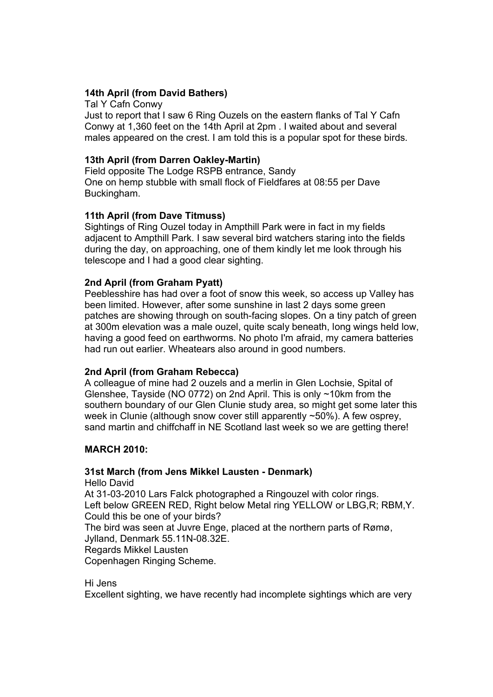# **14th April (from David Bathers)**

Tal Y Cafn Conwy

Just to report that I saw 6 Ring Ouzels on the eastern flanks of Tal Y Cafn Conwy at 1,360 feet on the 14th April at 2pm . I waited about and several males appeared on the crest. I am told this is a popular spot for these birds.

# **13th April (from Darren Oakley-Martin)**

Field opposite The Lodge RSPB entrance, Sandy One on hemp stubble with small flock of Fieldfares at 08:55 per Dave Buckingham.

# **11th April (from Dave Titmuss)**

Sightings of Ring Ouzel today in Ampthill Park were in fact in my fields adjacent to Ampthill Park. I saw several bird watchers staring into the fields during the day, on approaching, one of them kindly let me look through his telescope and I had a good clear sighting.

# **2nd April (from Graham Pyatt)**

Peeblesshire has had over a foot of snow this week, so access up Valley has been limited. However, after some sunshine in last 2 days some green patches are showing through on south-facing slopes. On a tiny patch of green at 300m elevation was a male ouzel, quite scaly beneath, long wings held low, having a good feed on earthworms. No photo I'm afraid, my camera batteries had run out earlier. Wheatears also around in good numbers.

# **2nd April (from Graham Rebecca)**

A colleague of mine had 2 ouzels and a merlin in Glen Lochsie, Spital of Glenshee, Tayside (NO 0772) on 2nd April. This is only ~10km from the southern boundary of our Glen Clunie study area, so might get some later this week in Clunie (although snow cover still apparently ~50%). A few osprey, sand martin and chiffchaff in NE Scotland last week so we are getting there!

# **MARCH 2010:**

# **31st March (from Jens Mikkel Lausten - Denmark)**

Hello David At 31-03-2010 Lars Falck photographed a Ringouzel with color rings. Left below GREEN RED, Right below Metal ring YELLOW or LBG,R; RBM,Y. Could this be one of your birds? The bird was seen at Juvre Enge, placed at the northern parts of Rømø, Jylland, Denmark 55.11N-08.32E. Regards Mikkel Lausten Copenhagen Ringing Scheme.

# Hi Jens

Excellent sighting, we have recently had incomplete sightings which are very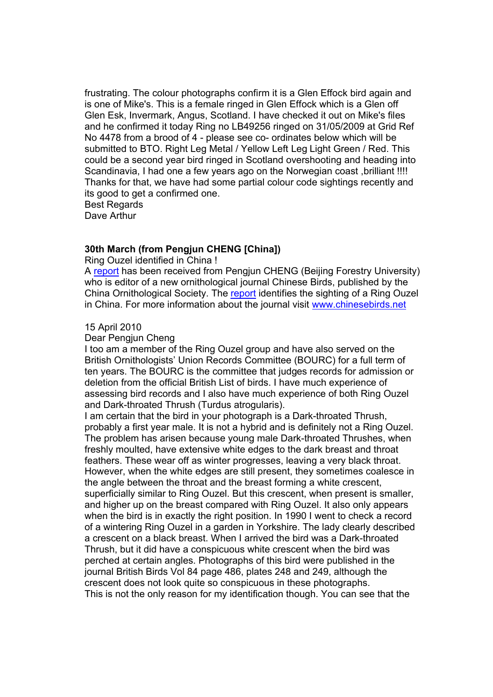frustrating. The colour photographs confirm it is a Glen Effock bird again and is one of Mike's. This is a female ringed in Glen Effock which is a Glen off Glen Esk, Invermark, Angus, Scotland. I have checked it out on Mike's files and he confirmed it today Ring no LB49256 ringed on 31/05/2009 at Grid Ref No 4478 from a brood of 4 - please see co- ordinates below which will be submitted to BTO. Right Leg Metal / Yellow Left Leg Light Green / Red. This could be a second year bird ringed in Scotland overshooting and heading into Scandinavia, I had one a few years ago on the Norwegian coast ,brilliant !!!! Thanks for that, we have had some partial colour code sightings recently and its good to get a confirmed one. Best Regards

Dave Arthur

# **30th March (from Pengjun CHENG [China])**

Ring Ouzel identified in China !

A [report](http://www.ringouzel.info/documents/10007-Chinese Birds.pdf) has been received from Pengjun CHENG (Beijing Forestry University) who is editor of a new ornithological journal Chinese Birds, published by the China Ornithological Society. The [report](http://www.ringouzel.info/documents/10007-Chinese Birds.pdf) identifies the sighting of a Ring Ouzel in China. For more information about the journal visit [www.chinesebirds.net](http://www.chinesebirds.net/)

#### 15 April 2010

#### Dear Pengjun Cheng

I too am a member of the Ring Ouzel group and have also served on the British Ornithologists' Union Records Committee (BOURC) for a full term of ten years. The BOURC is the committee that judges records for admission or deletion from the official British List of birds. I have much experience of assessing bird records and I also have much experience of both Ring Ouzel and Dark-throated Thrush (Turdus atrogularis).

I am certain that the bird in your photograph is a Dark-throated Thrush, probably a first year male. It is not a hybrid and is definitely not a Ring Ouzel. The problem has arisen because young male Dark-throated Thrushes, when freshly moulted, have extensive white edges to the dark breast and throat feathers. These wear off as winter progresses, leaving a very black throat. However, when the white edges are still present, they sometimes coalesce in the angle between the throat and the breast forming a white crescent, superficially similar to Ring Ouzel. But this crescent, when present is smaller, and higher up on the breast compared with Ring Ouzel. It also only appears when the bird is in exactly the right position. In 1990 I went to check a record of a wintering Ring Ouzel in a garden in Yorkshire. The lady clearly described a crescent on a black breast. When I arrived the bird was a Dark-throated Thrush, but it did have a conspicuous white crescent when the bird was perched at certain angles. Photographs of this bird were published in the journal British Birds Vol 84 page 486, plates 248 and 249, although the crescent does not look quite so conspicuous in these photographs. This is not the only reason for my identification though. You can see that the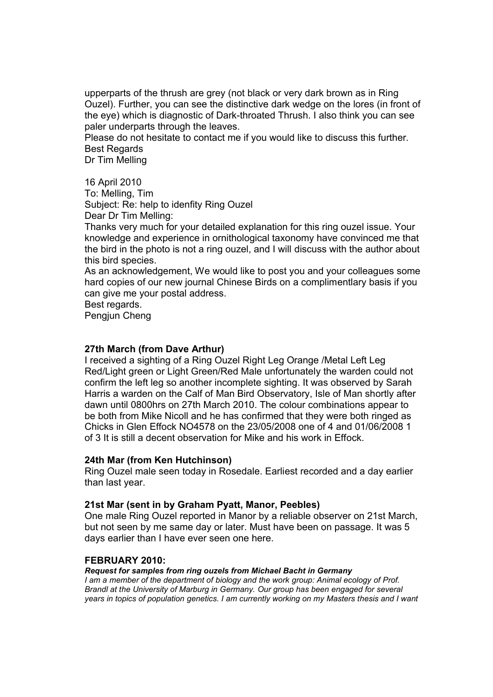upperparts of the thrush are grey (not black or very dark brown as in Ring Ouzel). Further, you can see the distinctive dark wedge on the lores (in front of the eye) which is diagnostic of Dark-throated Thrush. I also think you can see paler underparts through the leaves.

Please do not hesitate to contact me if you would like to discuss this further. Best Regards

Dr Tim Melling

#### 16 April 2010

To: Melling, Tim Subject: Re: help to idenfity Ring Ouzel

Dear Dr Tim Melling:

Thanks very much for your detailed explanation for this ring ouzel issue. Your knowledge and experience in ornithological taxonomy have convinced me that the bird in the photo is not a ring ouzel, and I will discuss with the author about this bird species.

As an acknowledgement, We would like to post you and your colleagues some hard copies of our new journal Chinese Birds on a complimentlary basis if you can give me your postal address.

Best regards.

Pengjun Cheng

# **27th March (from Dave Arthur)**

I received a sighting of a Ring Ouzel Right Leg Orange /Metal Left Leg Red/Light green or Light Green/Red Male unfortunately the warden could not confirm the left leg so another incomplete sighting. It was observed by Sarah Harris a warden on the Calf of Man Bird Observatory, Isle of Man shortly after dawn until 0800hrs on 27th March 2010. The colour combinations appear to be both from Mike Nicoll and he has confirmed that they were both ringed as Chicks in Glen Effock NO4578 on the 23/05/2008 one of 4 and 01/06/2008 1 of 3 It is still a decent observation for Mike and his work in Effock.

## **24th Mar (from Ken Hutchinson)**

Ring Ouzel male seen today in Rosedale. Earliest recorded and a day earlier than last year.

## **21st Mar (sent in by Graham Pyatt, Manor, Peebles)**

One male Ring Ouzel reported in Manor by a reliable observer on 21st March, but not seen by me same day or later. Must have been on passage. It was 5 days earlier than I have ever seen one here.

#### **FEBRUARY 2010:**

#### *Request for samples from ring ouzels from Michael Bacht in Germany*

*I am a member of the department of biology and the work group: Animal ecology of Prof. Brandl at the University of Marburg in Germany. Our group has been engaged for several years in topics of population genetics. I am currently working on my Masters thesis and I want*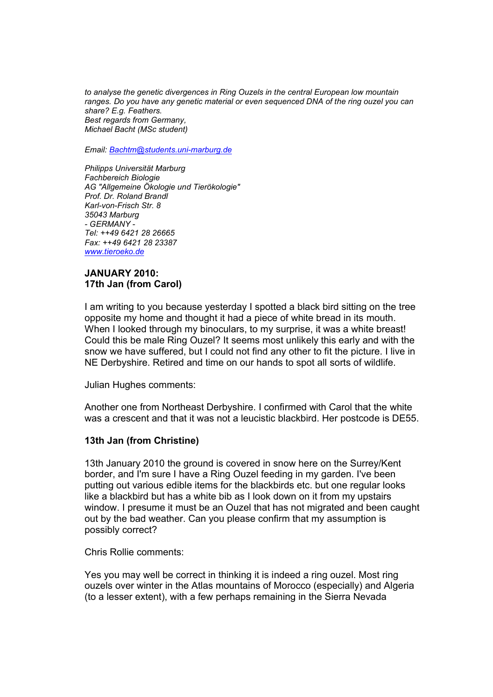*to analyse the genetic divergences in Ring Ouzels in the central European low mountain ranges. Do you have any genetic material or even sequenced DNA of the ring ouzel you can share? E.g. Feathers. Best regards from Germany, Michael Bacht (MSc student)*

*Email: [Bachtm@students.uni-marburg.de](mailto:Bachtm@students.uni-marburg.de)*

*Philipps Universität Marburg Fachbereich Biologie AG "Allgemeine Ökologie und Tierökologie" Prof. Dr. Roland Brandl Karl-von-Frisch Str. 8 35043 Marburg - GERMANY - Tel: ++49 6421 28 26665 Fax: ++49 6421 28 23387 [www.tieroeko.de](http://www.tieroeko.de/)*

#### **JANUARY 2010: 17th Jan (from Carol)**

I am writing to you because yesterday I spotted a black bird sitting on the tree opposite my home and thought it had a piece of white bread in its mouth. When I looked through my binoculars, to my surprise, it was a white breast! Could this be male Ring Ouzel? It seems most unlikely this early and with the snow we have suffered, but I could not find any other to fit the picture. I live in NE Derbyshire. Retired and time on our hands to spot all sorts of wildlife.

Julian Hughes comments:

Another one from Northeast Derbyshire. I confirmed with Carol that the white was a crescent and that it was not a leucistic blackbird. Her postcode is DE55.

## **13th Jan (from Christine)**

13th January 2010 the ground is covered in snow here on the Surrey/Kent border, and I'm sure I have a Ring Ouzel feeding in my garden. I've been putting out various edible items for the blackbirds etc. but one regular looks like a blackbird but has a white bib as I look down on it from my upstairs window. I presume it must be an Ouzel that has not migrated and been caught out by the bad weather. Can you please confirm that my assumption is possibly correct?

Chris Rollie comments:

Yes you may well be correct in thinking it is indeed a ring ouzel. Most ring ouzels over winter in the Atlas mountains of Morocco (especially) and Algeria (to a lesser extent), with a few perhaps remaining in the Sierra Nevada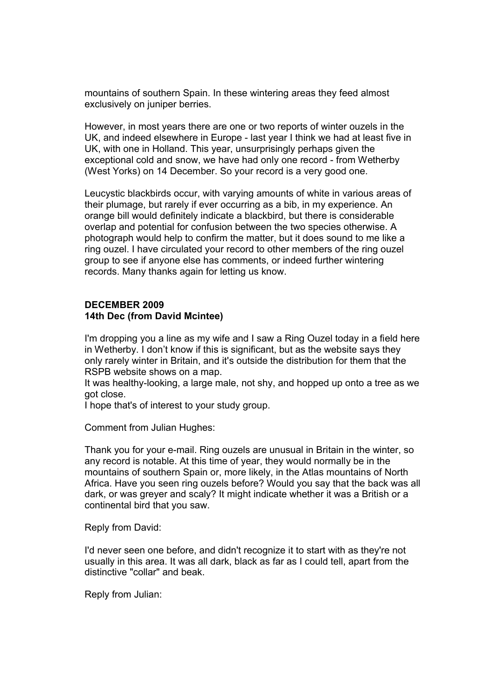mountains of southern Spain. In these wintering areas they feed almost exclusively on juniper berries.

However, in most years there are one or two reports of winter ouzels in the UK, and indeed elsewhere in Europe - last year I think we had at least five in UK, with one in Holland. This year, unsurprisingly perhaps given the exceptional cold and snow, we have had only one record - from Wetherby (West Yorks) on 14 December. So your record is a very good one.

Leucystic blackbirds occur, with varying amounts of white in various areas of their plumage, but rarely if ever occurring as a bib, in my experience. An orange bill would definitely indicate a blackbird, but there is considerable overlap and potential for confusion between the two species otherwise. A photograph would help to confirm the matter, but it does sound to me like a ring ouzel. I have circulated your record to other members of the ring ouzel group to see if anyone else has comments, or indeed further wintering records. Many thanks again for letting us know.

#### **DECEMBER 2009 14th Dec (from David Mcintee)**

I'm dropping you a line as my wife and I saw a Ring Ouzel today in a field here in Wetherby. I don't know if this is significant, but as the website says they only rarely winter in Britain, and it's outside the distribution for them that the RSPB website shows on a map.

It was healthy-looking, a large male, not shy, and hopped up onto a tree as we got close.

I hope that's of interest to your study group.

Comment from Julian Hughes:

Thank you for your e-mail. Ring ouzels are unusual in Britain in the winter, so any record is notable. At this time of year, they would normally be in the mountains of southern Spain or, more likely, in the Atlas mountains of North Africa. Have you seen ring ouzels before? Would you say that the back was all dark, or was greyer and scaly? It might indicate whether it was a British or a continental bird that you saw.

Reply from David:

I'd never seen one before, and didn't recognize it to start with as they're not usually in this area. It was all dark, black as far as I could tell, apart from the distinctive "collar" and beak.

Reply from Julian: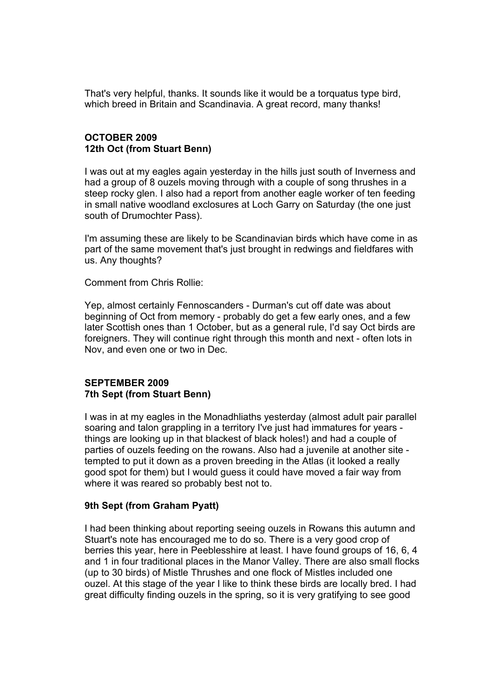That's very helpful, thanks. It sounds like it would be a torquatus type bird, which breed in Britain and Scandinavia. A great record, many thanks!

# **OCTOBER 2009 12th Oct (from Stuart Benn)**

I was out at my eagles again yesterday in the hills just south of Inverness and had a group of 8 ouzels moving through with a couple of song thrushes in a steep rocky glen. I also had a report from another eagle worker of ten feeding in small native woodland exclosures at Loch Garry on Saturday (the one just south of Drumochter Pass).

I'm assuming these are likely to be Scandinavian birds which have come in as part of the same movement that's just brought in redwings and fieldfares with us. Any thoughts?

Comment from Chris Rollie:

Yep, almost certainly Fennoscanders - Durman's cut off date was about beginning of Oct from memory - probably do get a few early ones, and a few later Scottish ones than 1 October, but as a general rule, I'd say Oct birds are foreigners. They will continue right through this month and next - often lots in Nov, and even one or two in Dec.

## **SEPTEMBER 2009 7th Sept (from Stuart Benn)**

I was in at my eagles in the Monadhliaths yesterday (almost adult pair parallel soaring and talon grappling in a territory I've just had immatures for years things are looking up in that blackest of black holes!) and had a couple of parties of ouzels feeding on the rowans. Also had a juvenile at another site tempted to put it down as a proven breeding in the Atlas (it looked a really good spot for them) but I would guess it could have moved a fair way from where it was reared so probably best not to.

## **9th Sept (from Graham Pyatt)**

I had been thinking about reporting seeing ouzels in Rowans this autumn and Stuart's note has encouraged me to do so. There is a very good crop of berries this year, here in Peeblesshire at least. I have found groups of 16, 6, 4 and 1 in four traditional places in the Manor Valley. There are also small flocks (up to 30 birds) of Mistle Thrushes and one flock of Mistles included one ouzel. At this stage of the year I like to think these birds are locally bred. I had great difficulty finding ouzels in the spring, so it is very gratifying to see good